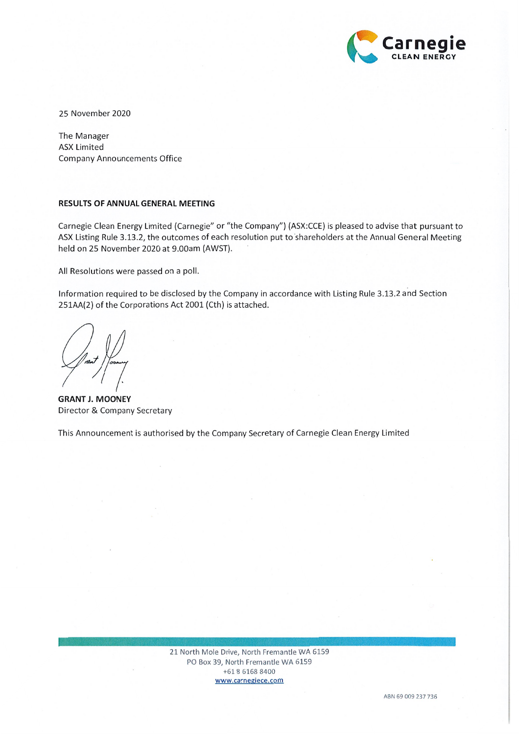

25 November 2020

The Manager **ASX Limited Company Announcements Office** 

## RESULTS OF ANNUAL GENERAL MEETING

Carnegie Clean Energy Limited (Carnegie" or "the Company") (ASX:CCE) is pleased to advise that pursuant to ASX Listing Rule 3.13.2, the outcomes of each resolution put to shareholders at the Annual General Meeting held on 25 November 2020 at 9.00am (AWST).

All Resolutions were passed on a poll.

Information required to be disclosed by the Company in accordance with Listing Rule 3.13.2 and Section 251AA(2) of the Corporations Act 2001 (Cth) is attached.

**GRANT J. MOONEY** Director & Company Secretary

This Announcement is authorised by the Company Secretary of Carnegie Clean Energy Limited

21 North Mole Drive, North Fremantle WA 6159 PO Box 39, North Fremantle WA 6159 +61 8 6168 8400 www.carnegiece.com